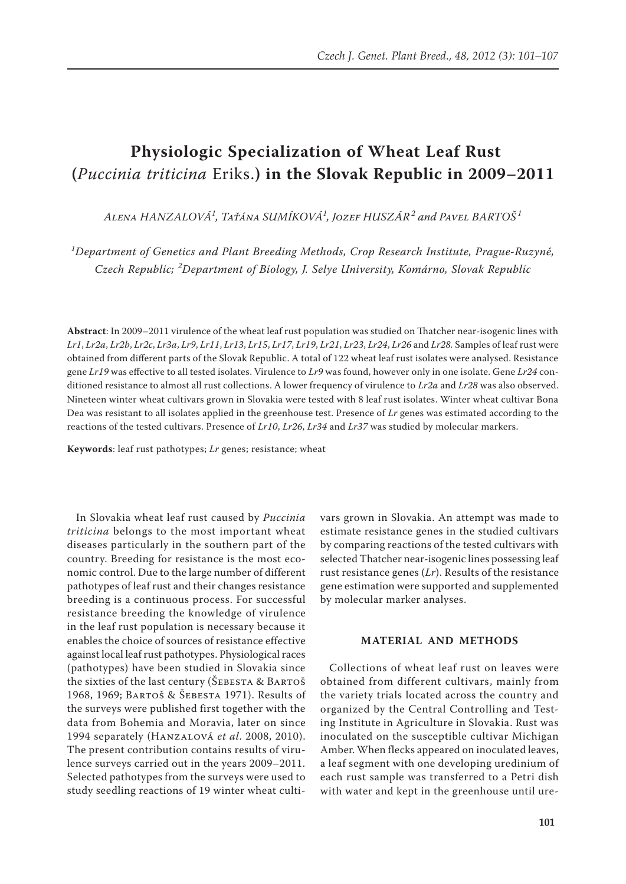# **Physiologic Specialization of Wheat Leaf Rust (***Puccinia triticina* Eriks.**) in the Slovak Republic in 2009–2011**

*Alena HANZALOVÁ<sup>1</sup> , Taťána SUMÍKOVÁ<sup>1</sup> , Jozef HUSZÁR<sup>2</sup> and Pavel BARTOŠ <sup>1</sup>*

*1 Department of Genetics and Plant Breeding Methods, Crop Research Institute, Prague-Ruzyně, Czech Republic; <sup>2</sup> Department of Biology, J. Selye University, Komárno, Slovak Republic*

**Abstract**: In 2009–2011 virulence of the wheat leaf rust population was studied on Thatcher near-isogenic lines with Lr1, Lr2a, Lr2b, Lr2c, Lr3a, Lr9, Lr11, Lr13, Lr15, Lr17, Lr19, Lr21, Lr23, Lr24, Lr26 and Lr28. Samples of leaf rust were obtained from different parts of the Slovak Republic. A total of 122 wheat leaf rust isolates were analysed. Resistance gene *Lr19* was effective to all tested isolates. Virulence to *Lr9* was found, however only in one isolate. Gene *Lr24* conditioned resistance to almost all rust collections. A lower frequency of virulence to *Lr2a* and *Lr28* was also observed. Nineteen winter wheat cultivars grown in Slovakia were tested with 8 leaf rust isolates. Winter wheat cultivar Bona Dea was resistant to all isolates applied in the greenhouse test. Presence of *Lr* genes was estimated according to the reactions of the tested cultivars. Presence of *Lr10*, *Lr26*, *Lr34* and *Lr37* was studied by molecular markers.

**Keywords**: leaf rust pathotypes; *Lr* genes; resistance; wheat

In Slovakia wheat leaf rust caused by *Puccinia triticina* belongs to the most important wheat diseases particularly in the southern part of the country. Breeding for resistance is the most economic control. Due to the large number of different pathotypes of leaf rust and their changes resistance breeding is a continuous process. For successful resistance breeding the knowledge of virulence in the leaf rust population is necessary because it enables the choice of sources of resistance effective against local leaf rust pathotypes. Physiological races (pathotypes) have been studied in Slovakia since the sixties of the last century (ŠEBESTA & BARTOŠ 1968, 1969; Bartoš & Šebesta 1971). Results of the surveys were published first together with the data from Bohemia and Moravia, later on since 1994 separately (Hanzalová *et al*. 2008, 2010). The present contribution contains results of virulence surveys carried out in the years 2009–2011. Selected pathotypes from the surveys were used to study seedling reactions of 19 winter wheat cultivars grown in Slovakia. An attempt was made to estimate resistance genes in the studied cultivars by comparing reactions of the tested cultivars with selected Thatcher near-isogenic lines possessing leaf rust resistance genes (*Lr*). Results of the resistance gene estimation were supported and supplemented by molecular marker analyses.

## **MATERIAL AND METHODS**

Collections of wheat leaf rust on leaves were obtained from different cultivars, mainly from the variety trials located across the country and organized by the Central Controlling and Testing Institute in Agriculture in Slovakia. Rust was inoculated on the susceptible cultivar Michigan Amber. When flecks appeared on inoculated leaves, a leaf segment with one developing uredinium of each rust sample was transferred to a Petri dish with water and kept in the greenhouse until ure-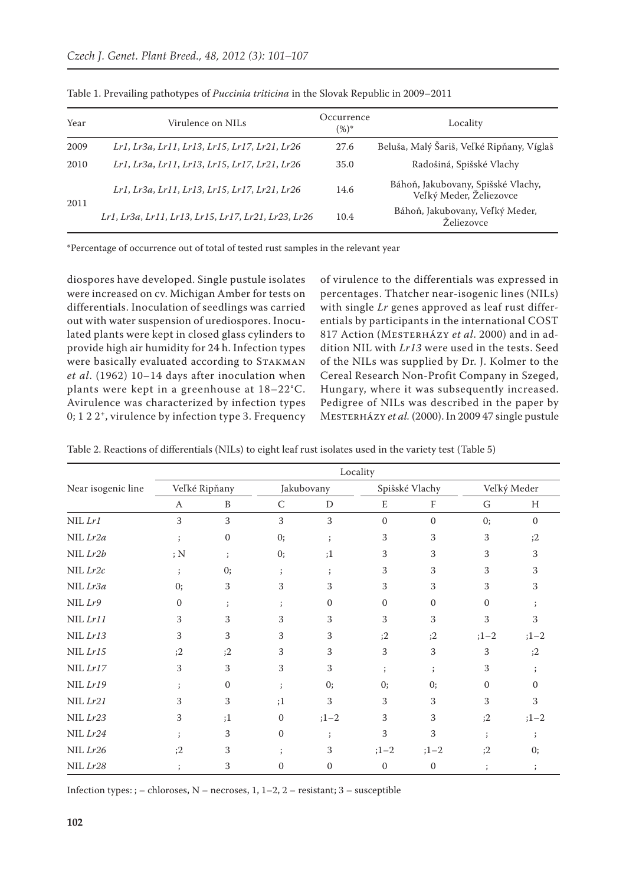| Year | Virulence on NILs-                                  | Occurrence<br>$(%)^*$ | Locality                                                      |  |  |  |
|------|-----------------------------------------------------|-----------------------|---------------------------------------------------------------|--|--|--|
| 2009 | Lr1, Lr3a, Lr11, Lr13, Lr15, Lr17, Lr21, Lr26       | 27.6                  | Beluša, Malý Šariš, Veľké Ripňany, Víglaš                     |  |  |  |
| 2010 | Lr1, Lr3a, Lr11, Lr13, Lr15, Lr17, Lr21, Lr26       | 35.0                  | Radošiná, Spišské Vlachy                                      |  |  |  |
| 2011 | Lr1, Lr3a, Lr11, Lr13, Lr15, Lr17, Lr21, Lr26       | 14.6                  | Báhoň, Jakubovany, Spišské Vlachy,<br>Veľký Meder, Želiezovce |  |  |  |
|      | Lr1, Lr3a, Lr11, Lr13, Lr15, Lr17, Lr21, Lr23, Lr26 | 10.4                  | Báhoň, Jakubovany, Veľký Meder,<br>Želiezovce                 |  |  |  |

Table 1. Prevailing pathotypes of *Puccinia triticina* in the Slovak Republic in 2009–2011

\*Percentage of occurrence out of total of tested rust samples in the relevant year

diospores have developed. Single pustule isolates were increased on cv. Michigan Amber for tests on differentials. Inoculation of seedlings was carried out with water suspension of urediospores. Inoculated plants were kept in closed glass cylinders to provide high air humidity for 24 h. Infection types were basically evaluated according to STAKMAN *et al*. (1962) 10–14 days after inoculation when plants were kept in a greenhouse at 18–22°C. Avirulence was characterized by infection types 0; 1 2 2<sup>+</sup>, virulence by infection type 3. Frequency

of virulence to the differentials was expressed in percentages. Thatcher near-isogenic lines (NILs) with single *Lr* genes approved as leaf rust differentials by participants in the international COST 817 Action (Mesterházy *et al*. 2000) and in addition NIL with *Lr13* were used in the tests. Seed of the NILs was supplied by Dr. J. Kolmer to the Cereal Research Non-Profit Company in Szeged, Hungary, where it was subsequently increased. Pedigree of NILs was described in the paper by Mesterházy *et al.* (2000). In 2009 47 single pustule

| Table 2. Reactions of differentials (NILs) to eight leaf rust isolates used in the variety test (Table 5) |  |  |
|-----------------------------------------------------------------------------------------------------------|--|--|
|-----------------------------------------------------------------------------------------------------------|--|--|

|                    | Locality      |              |              |                      |                  |              |              |              |  |  |
|--------------------|---------------|--------------|--------------|----------------------|------------------|--------------|--------------|--------------|--|--|
| Near isogenic line | Veľké Ripňany |              |              | Jakubovany           | Spišské Vlachy   |              | Veľký Meder  |              |  |  |
|                    | A             | B            | $\cal C$     | D                    | E                | F            | G            | H            |  |  |
| NIL Lr1            | 3             | 3            | 3            | 3                    | $\mathbf{0}$     | $\mathbf{0}$ | 0;           | $\mathbf{0}$ |  |  |
| NIL Lr2a           | $\vdots$      | $\mathbf{0}$ | 0;           | $\ddot{i}$           | 3                | 3            | 3            | ;2           |  |  |
| NIL Lr2b           | ;N            | $\cdot$      | 0;           | ;1                   | 3                | 3            | 3            | 3            |  |  |
| NIL Lr2c           | $\vdots$      | 0;           | $\cdot$      | $\ddot{i}$           | 3                | 3            | 3            | 3            |  |  |
| NIL Lr3a           | 0;            | 3            | 3            | 3                    | 3                | 3            | 3            | 3            |  |  |
| $NIL$ $Lr9$        | $\mathbf{0}$  | $\vdots$     | $\cdot$ .    | $\mathbf{0}$         | $\mathbf{0}$     | $\mathbf{0}$ | $\mathbf{0}$ |              |  |  |
| NIL Lr11           | 3             | 3            | 3            | 3                    | 3                | 3            | 3            | 3            |  |  |
| NIL Lr13           | 3             | 3            | 3            | 3                    | ;2               | ;2           | $;1 - 2$     | $;1 - 2$     |  |  |
| NIL Lr15           | :2            | ;2           | 3            | 3                    | 3                | 3            | 3            | ;2           |  |  |
| NIL Lr17           | 3             | 3            | 3            | 3                    | $\ddot{i}$       | $\vdots$     | 3            |              |  |  |
| NIL Lr19           | $\cdot$       | $\mathbf{0}$ | $\vdots$     | 0;                   | 0;               | 0;           | $\Omega$     | $\Omega$     |  |  |
| NIL Lr21           | 3             | 3            | ;1           | 3                    | 3                | 3            | 3            | 3            |  |  |
| NIL Lr23           | 3             | ;1           | $\mathbf{0}$ | $;1 - 2$             | 3                | 3            | ;2           | $;1 - 2$     |  |  |
| NIL Lr24           |               | 3            | $\Omega$     | $\ddot{\phantom{0}}$ | 3                | 3            |              |              |  |  |
| NIL Lr26           | ;2            | 3            |              | 3                    | $;1 - 2$         | $;1 - 2$     | ;2           | 0;           |  |  |
| NIL Lr28           | $\vdots$      | 3            | $\mathbf{0}$ | $\mathbf{0}$         | $\boldsymbol{0}$ | $\mathbf{0}$ | $\vdots$     |              |  |  |

Infection types: ; – chloroses,  $N$  – necroses, 1, 1–2, 2 – resistant; 3 – susceptible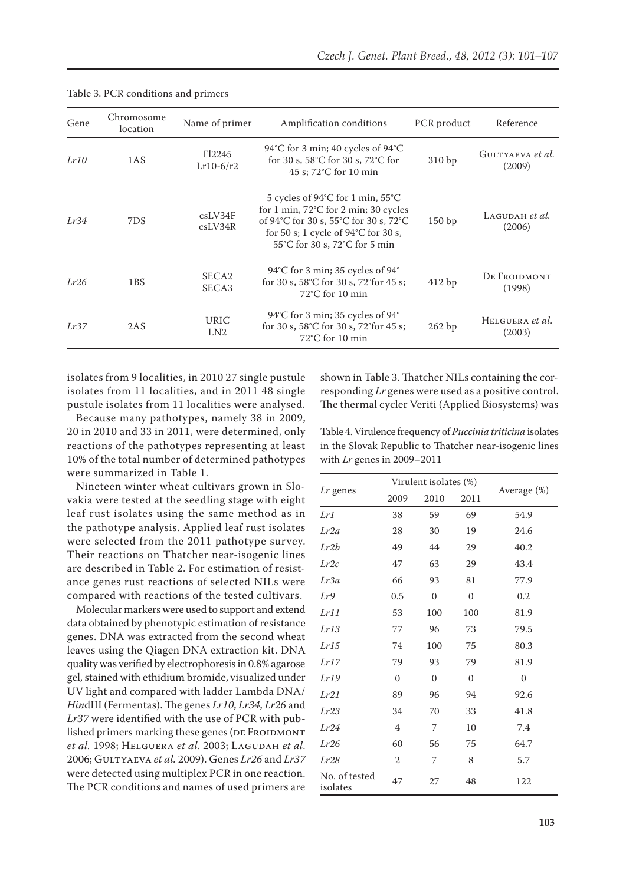| Gene | Chromosome<br>location | Name of primer                    | Amplification conditions                                                                                                                                                                                                          | PCR product | Reference                  |
|------|------------------------|-----------------------------------|-----------------------------------------------------------------------------------------------------------------------------------------------------------------------------------------------------------------------------------|-------------|----------------------------|
| Lr10 | 1AS                    | F <sub>12245</sub><br>$Lr10-6/r2$ | 94°C for 3 min; 40 cycles of $94^{\circ}$ C<br>for 30 s, $58^{\circ}$ C for 30 s, $72^{\circ}$ C for<br>45 s; 72°C for 10 min                                                                                                     | 310 bp      | GULTYAEVA et al.<br>(2009) |
| Lr34 | 7DS                    | csLV34F<br>csLV34R                | 5 cycles of $94^{\circ}$ C for 1 min, $55^{\circ}$ C<br>for 1 min, $72^{\circ}$ C for 2 min; 30 cycles<br>of 94°C for 30 s, 55°C for 30 s, 72°C<br>for 50 s; 1 cycle of $94^{\circ}$ C for 30 s,<br>55°C for 30 s, 72°C for 5 min | 150bp       | LAGUDAH et al.<br>(2006)   |
| Lr26 | 1BS                    | SECA <sub>2</sub><br>SECA3        | 94°C for 3 min; 35 cycles of $94^{\circ}$<br>for 30 s, 58°C for 30 s, 72°for 45 s;<br>$72^{\circ}$ C for 10 min                                                                                                                   | 412bp       | DE FROIDMONT<br>(1998)     |
| Lr37 | 2AS                    | <b>URIC</b><br>LN2                | 94°C for 3 min; 35 cycles of 94°<br>for 30 s, 58°C for 30 s, 72°for 45 s;<br>$72^{\circ}$ C for 10 min                                                                                                                            | 262bp       | HELGUERA et al.<br>(2003)  |

#### Table 3. PCR conditions and primers

isolates from 9 localities, in 2010 27 single pustule isolates from 11 localities, and in 2011 48 single pustule isolates from 11 localities were analysed.

Because many pathotypes, namely 38 in 2009, 20 in 2010 and 33 in 2011, were determined, only reactions of the pathotypes representing at least 10% of the total number of determined pathotypes were summarized in Table 1.

Nineteen winter wheat cultivars grown in Slovakia were tested at the seedling stage with eight leaf rust isolates using the same method as in the pathotype analysis. Applied leaf rust isolates were selected from the 2011 pathotype survey. Their reactions on Thatcher near-isogenic lines are described in Table 2. For estimation of resistance genes rust reactions of selected NILs were compared with reactions of the tested cultivars.

Molecular markers were used to support and extend data obtained by phenotypic estimation of resistance genes. DNA was extracted from the second wheat leaves using the Qiagen DNA extraction kit. DNA quality was verified by electrophoresis in 0.8% agarose gel, stained with ethidium bromide, visualized under UV light and compared with ladder Lambda DNA/ *Hin*dIII (Fermentas). The genes *Lr10*, *Lr34*, *Lr26* and *Lr37* were identified with the use of PCR with published primers marking these genes (DE FROIDMONT *et al.* 1998; Helguera *et al*. 2003; Lagudah *et al*. 2006; Gultyaeva *et al.* 2009). Genes *Lr26* and *Lr37*  were detected using multiplex PCR in one reaction. The PCR conditions and names of used primers are

shown in Table 3. Thatcher NILs containing the corresponding *Lr* genes were used as a positive control. The thermal cycler Veriti (Applied Biosystems) was

Table 4. Virulence frequency of *Puccinia triticina* isolates in the Slovak Republic to Thatcher near-isogenic lines with *Lr* genes in 2009–2011

|                           |                | Virulent isolates (%) |                  |              |
|---------------------------|----------------|-----------------------|------------------|--------------|
| Lr genes                  | 2009<br>2010   |                       | 2011             | Average (%)  |
| Lr1                       | 38             | 59                    | 69               | 54.9         |
| Lr2a                      | 28             | 30                    | 19               | 24.6         |
| Lr2b                      | 49             | 44                    | 29               | 40.2         |
| Lr2c                      | 47             | 63                    | 29               | 43.4         |
| Lr3a                      | 66             | 93                    | 81               | 77.9         |
| Lr9                       | 0.5            | $\mathbf{0}$          | $\boldsymbol{0}$ | 0.2          |
| Lr11                      | 53             | 100                   | 100              | 81.9         |
| Lr13                      | 77             | 96                    | 73               | 79.5         |
| Lr15                      | 74             | 100                   | 75               | 80.3         |
| Lr17                      | 79             | 93                    | 79               | 81.9         |
| Lr19                      | $\mathbf{0}$   | $\mathbf{0}$          | $\mathbf{0}$     | $\mathbf{0}$ |
| Lr21                      | 89             | 96                    | 94               | 92.6         |
| Lr23                      | 34             | 70                    | 33               | 41.8         |
| Lr24                      | $\overline{4}$ | 7                     | 10               | 7.4          |
| Lr26                      | 60             | 56                    | 75               | 64.7         |
| Lr28                      | 2              | 7                     | 8                | 5.7          |
| No. of tested<br>isolates | 47             | 27                    | 48               | 122          |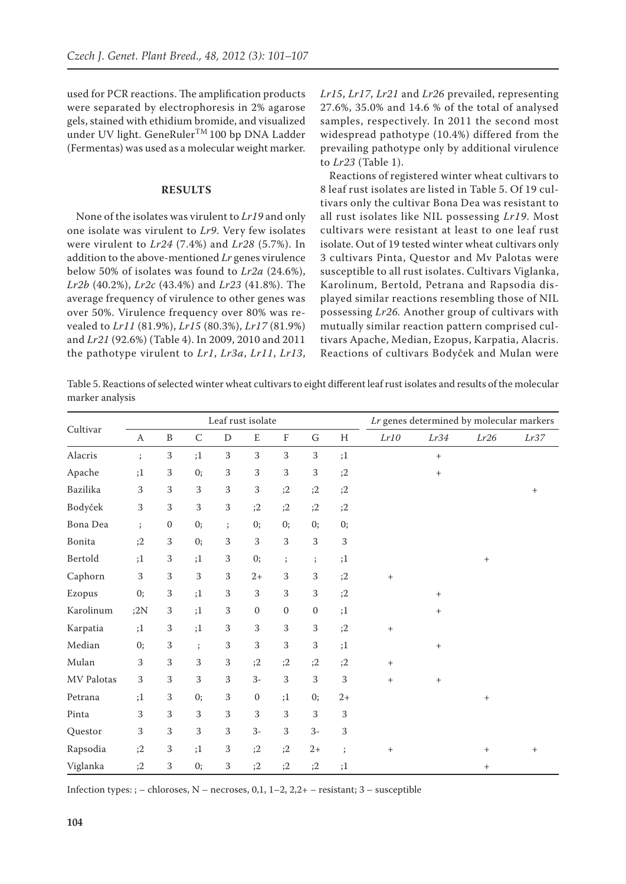used for PCR reactions. The amplification products were separated by electrophoresis in 2% agarose gels, stained with ethidium bromide, and visualized under UV light. GeneRuler<sup>TM</sup> 100 bp DNA Ladder (Fermentas) was used as a molecular weight marker.

## **RESULTS**

None of the isolates was virulent to *Lr19* and only one isolate was virulent to *Lr9*. Very few isolates were virulent to *Lr24* (7.4%) and *Lr28* (5.7%). In addition to the above-mentioned *Lr* genes virulence below 50% of isolates was found to *Lr2a* (24.6%), *Lr2b* (40.2%), *Lr2c* (43.4%) and *Lr23* (41.8%). The average frequency of virulence to other genes was over 50%. Virulence frequency over 80% was revealed to *Lr11* (81.9%), *Lr15* (80.3%), *Lr17* (81.9%) and *Lr21* (92.6%) (Table 4). In 2009, 2010 and 2011 the pathotype virulent to *Lr1*, *Lr3a*, *Lr11*, *Lr13*, *Lr15*, *Lr17*, *Lr21* and *Lr26* prevailed, representing 27.6%, 35.0% and 14.6 % of the total of analysed samples, respectively. In 2011 the second most widespread pathotype (10.4%) differed from the prevailing pathotype only by additional virulence to *Lr23* (Table 1).

Reactions of registered winter wheat cultivars to 8 leaf rust isolates are listed in Table 5. Of 19 cultivars only the cultivar Bona Dea was resistant to all rust isolates like NIL possessing *Lr19*. Most cultivars were resistant at least to one leaf rust isolate. Out of 19 tested winter wheat cultivars only 3 cultivars Pinta, Questor and Mv Palotas were susceptible to all rust isolates. Cultivars Viglanka, Karolinum, Bertold, Petrana and Rapsodia displayed similar reactions resembling those of NIL possessing *Lr26.* Another group of cultivars with mutually similar reaction pattern comprised cultivars Apache, Median, Ezopus, Karpatia, Alacris. Reactions of cultivars Bodyček and Mulan were

Table 5. Reactions of selected winter wheat cultivars to eight different leaf rust isolates and results of the molecular marker analysis

|            | Leaf rust isolate |                  |            |             |                  |                           |                      | Lr genes determined by molecular markers |                   |                                  |                                  |        |
|------------|-------------------|------------------|------------|-------------|------------------|---------------------------|----------------------|------------------------------------------|-------------------|----------------------------------|----------------------------------|--------|
| Cultivar   | $\boldsymbol{A}$  | $\, {\bf B}$     | $\cal C$   | ${\rm D}$   | E                | $\boldsymbol{\mathrm{F}}$ | ${\mathsf G}$        | H                                        | $Lr10$            | Lr34                             | Lr26                             | Lr37   |
| Alacris    | $\vdots$          | 3                | ;1         | 3           | 3                | 3                         | 3                    | ;1                                       |                   | $^{+}$                           |                                  |        |
| Apache     | ;1                | $\sqrt{3}$       | 0;         | 3           | 3                | 3                         | 3                    | ;2                                       |                   | $^+$                             |                                  |        |
| Bazilika   | $\sqrt{3}$        | $\sqrt{3}$       | 3          | 3           | $\sqrt{3}$       | ;2                        | ;2                   | ;2                                       |                   |                                  |                                  | $^{+}$ |
| Bodyček    | $\sqrt{3}$        | $\sqrt{3}$       | $\,3$      | 3           | ;2               | ;2                        | ;2                   | ;2                                       |                   |                                  |                                  |        |
| Bona Dea   | $\ddot{i}$        | $\boldsymbol{0}$ | 0;         | $\vdots$    | 0;               | 0;                        | 0;                   | 0;                                       |                   |                                  |                                  |        |
| Bonita     | ;2                | $\,3$            | 0;         | $\,3$       | 3                | 3                         | 3                    | $\,3$                                    |                   |                                  |                                  |        |
| Bertold    | ;1                | $\sqrt{3}$       | ;1         | $\,$ 3 $\,$ | 0;               | $\cdot$                   | $\ddot{\phantom{a}}$ | ;1                                       |                   |                                  | $^{+}$                           |        |
| Caphorn    | $\,3$             | $\,3$            | 3          | $\,3$       | $2+$             | 3                         | 3                    | ;2                                       | $\qquad \qquad +$ |                                  |                                  |        |
| Ezopus     | 0;                | $\,3$            | ;1         | 3           | 3                | 3                         | 3                    | ;2                                       |                   | $^+$                             |                                  |        |
| Karolinum  | ;2N               | $\sqrt{3}$       | ;1         | 3           | $\boldsymbol{0}$ | $\boldsymbol{0}$          | $\boldsymbol{0}$     | ;1                                       |                   | $^{+}$                           |                                  |        |
| Karpatia   | ;1                | $\mathbf{3}$     | ;1         | 3           | 3                | 3                         | 3                    | ;2                                       | $\qquad \qquad +$ |                                  |                                  |        |
| Median     | 0;                | $\sqrt{3}$       | $\ddot{i}$ | 3           | 3                | 3                         | 3                    | ;1                                       |                   | $\begin{array}{c} + \end{array}$ |                                  |        |
| Mulan      | $\sqrt{3}$        | $\,3$            | 3          | 3           | ;2               | ;2                        | ;2                   | ;2                                       | $^+$              |                                  |                                  |        |
| MV Palotas | 3                 | 3                | 3          | 3           | $3-$             | 3                         | 3                    | 3                                        | $+$               | $\begin{array}{c} + \end{array}$ |                                  |        |
| Petrana    | ;1                | $\sqrt{3}$       | 0;         | 3           | $\boldsymbol{0}$ | ;1                        | 0;                   | $2+$                                     |                   |                                  | $\begin{array}{c} + \end{array}$ |        |
| Pinta      | 3                 | 3                | 3          | 3           | 3                | 3                         | 3                    | $\,3$                                    |                   |                                  |                                  |        |
| Questor    | 3                 | $\,3$            | 3          | 3           | $3-$             | 3                         | $3-$                 | 3                                        |                   |                                  |                                  |        |
| Rapsodia   | ;2                | $\,3$            | ;1         | 3           | ;2               | ;2                        | $2+$                 | $\vdots$                                 | $^+$              |                                  | $^{+}$                           | $^{+}$ |
| Viglanka   | ;2                | 3                | 0;         | 3           | ;2               | ;2                        | ;2                   | ;1                                       |                   |                                  | $^{+}$                           |        |

Infection types: ; – chloroses, N – necroses, 0,1, 1–2, 2,2+ – resistant; 3 – susceptible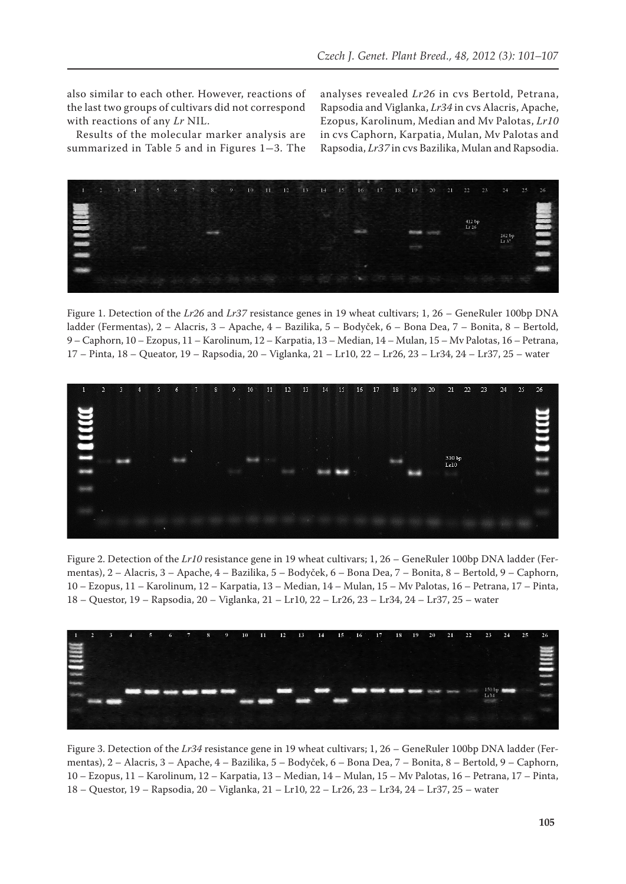also similar to each other. However, reactions of the last two groups of cultivars did not correspond with reactions of any *Lr* NIL.

Results of the molecular marker analysis are summarized in Table 5 and in Figures 1-3. The analyses revealed *Lr26* in cvs Bertold, Petrana, Rapsodia and Viglanka, *Lr34* in cvs Alacris, Apache, Ezopus, Karolinum, Median and Mv Palotas, *Lr10* in cvs Caphorn, Karpatia, Mulan, Mv Palotas and Rapsodia, *Lr37* in cvs Bazilika, Mulan and Rapsodia.



Figure 1. Detection of the *Lr26* and *Lr37* resistance genes in 19 wheat cultivars; 1, 26 – GeneRuler 100bp DNA ladder (Fermentas), 2 – Alacris, 3 – Apache, 4 – Bazilika, 5 – Bodyček, 6 – Bona Dea, 7 – Bonita, 8 – Bertold, 9 – Caphorn, 10 – Ezopus, 11 – Karolinum, 12 – Karpatia, 13 – Median, 14 – Mulan, 15 – Mv Palotas, 16 – Petrana, 17 – Pinta, 18 – Queator, 19 – Rapsodia, 20 – Viglanka, 21 – Lr10, 22 – Lr26, 23 – Lr34, 24 – Lr37, 25 – water



Figure 2. Detection of the *Lr10* resistance gene in 19 wheat cultivars; 1, 26 – GeneRuler 100bp DNA ladder (Fermentas), 2 – Alacris, 3 – Apache, 4 – Bazilika, 5 – Bodyček, 6 – Bona Dea, 7 – Bonita, 8 – Bertold, 9 – Caphorn, 10 – Ezopus, 11 – Karolinum, 12 – Karpatia, 13 – Median, 14 – Mulan, 15 – Mv Palotas, 16 – Petrana, 17 – Pinta, 18 – Questor, 19 – Rapsodia, 20 – Viglanka, 21 – Lr10, 22 – Lr26, 23 – Lr34, 24 – Lr37, 25 – water



Figure 3. Detection of the *Lr34* resistance gene in 19 wheat cultivars; 1, 26 – GeneRuler 100bp DNA ladder (Fermentas), 2 – Alacris, 3 – Apache, 4 – Bazilika, 5 – Bodyček, 6 – Bona Dea, 7 – Bonita, 8 – Bertold, 9 – Caphorn, 10 – Ezopus, 11 – Karolinum, 12 – Karpatia, 13 – Median, 14 – Mulan, 15 – Mv Palotas, 16 – Petrana, 17 – Pinta, 18 – Questor, 19 – Rapsodia, 20 – Viglanka, 21 – Lr10, 22 – Lr26, 23 – Lr34, 24 – Lr37, 25 – water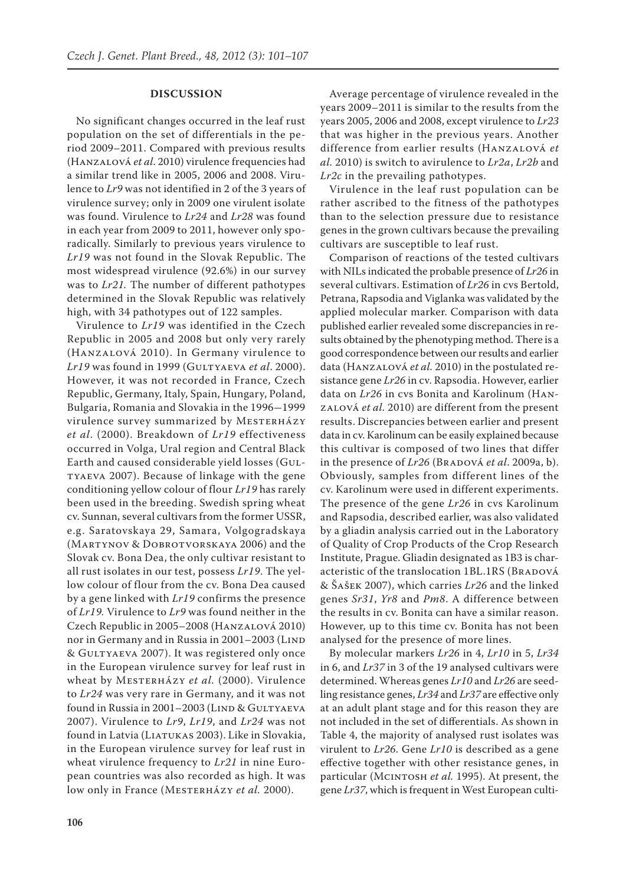#### **DISCUSSION**

No significant changes occurred in the leaf rust population on the set of differentials in the period 2009–2011. Compared with previous results (Hanzalová *et al*. 2010) virulence frequencies had a similar trend like in 2005, 2006 and 2008. Virulence to *Lr9* was not identified in 2 of the 3 years of virulence survey; only in 2009 one virulent isolate was found. Virulence to *Lr24* and *Lr28* was found in each year from 2009 to 2011, however only sporadically. Similarly to previous years virulence to *Lr19* was not found in the Slovak Republic. The most widespread virulence (92.6%) in our survey was to *Lr21.* The number of different pathotypes determined in the Slovak Republic was relatively high, with 34 pathotypes out of 122 samples.

Virulence to *Lr19* was identified in the Czech Republic in 2005 and 2008 but only very rarely (Hanzalová 2010). In Germany virulence to *Lr19* was found in 1999 (Gultyaeva *et al*. 2000). However, it was not recorded in France, Czech Republic, Germany, Italy, Spain, Hungary, Poland, Bulgaria, Romania and Slovakia in the 1996-1999 virulence survey summarized by MESTERHÁZY *et al*. (2000). Breakdown of *Lr19* effectiveness occurred in Volga, Ural region and Central Black Earth and caused considerable yield losses (Gultyaeva 2007). Because of linkage with the gene conditioning yellow colour of flour *Lr19* has rarely been used in the breeding. Swedish spring wheat cv. Sunnan, several cultivars from the former USSR, e.g. Saratovskaya 29, Samara, Volgogradskaya (MARTYNOV & DOBROTVORSKAYA 2006) and the Slovak cv. Bona Dea, the only cultivar resistant to all rust isolates in our test, possess *Lr19*. The yellow colour of flour from the cv. Bona Dea caused by a gene linked with *Lr19* confirms the presence of *Lr19.* Virulence to *Lr9* was found neither in the Czech Republic in 2005–2008 (Hanzalová 2010) nor in Germany and in Russia in 2001-2003 (LIND & Gultyaeva 2007). It was registered only once in the European virulence survey for leaf rust in wheat by Mesterházy *et al.* (2000). Virulence to *Lr24* was very rare in Germany, and it was not found in Russia in 2001-2003 (LIND & GULTYAEVA 2007). Virulence to *Lr9*, *Lr19*, and *Lr24* was not found in Latvia (Liatukas 2003). Like in Slovakia, in the European virulence survey for leaf rust in wheat virulence frequency to *Lr21* in nine European countries was also recorded as high. It was low only in France (MESTERHÁZY *et al.* 2000).

Average percentage of virulence revealed in the years 2009–2011 is similar to the results from the years 2005, 2006 and 2008, except virulence to *Lr23*  that was higher in the previous years. Another difference from earlier results (Hanzalová *et al.* 2010) is switch to avirulence to *Lr2a*, *Lr2b* and *Lr2c* in the prevailing pathotypes.

Virulence in the leaf rust population can be rather ascribed to the fitness of the pathotypes than to the selection pressure due to resistance genes in the grown cultivars because the prevailing cultivars are susceptible to leaf rust.

Comparison of reactions of the tested cultivars with NILs indicated the probable presence of *Lr26* in several cultivars. Estimation of *Lr26* in cvs Bertold, Petrana, Rapsodia and Viglanka was validated by the applied molecular marker. Comparison with data published earlier revealed some discrepancies in results obtained by the phenotyping method. There is a good correspondence between our results and earlier data (Hanzalová *et al.* 2010) in the postulated resistance gene *Lr26* in cv. Rapsodia. However, earlier data on *Lr26* in cvs Bonita and Karolinum (Hanzalová *et al.* 2010) are different from the present results. Discrepancies between earlier and present data in cv. Karolinum can be easily explained because this cultivar is composed of two lines that differ in the presence of *Lr26* (BRADOVÁ *et al.* 2009a, b). Obviously, samples from different lines of the cv. Karolinum were used in different experiments. The presence of the gene *Lr26* in cvs Karolinum and Rapsodia, described earlier, was also validated by a gliadin analysis carried out in the Laboratory of Quality of Crop Products of the Crop Research Institute, Prague. Gliadin designated as 1B3 is characteristic of the translocation 1BL.1RS (BRADOVÁ & Šašek 2007), which carries *Lr26* and the linked genes *Sr31*, *Yr8* and *Pm8*. A difference between the results in cv. Bonita can have a similar reason. However, up to this time cv. Bonita has not been analysed for the presence of more lines.

By molecular markers *Lr26* in 4, *Lr10* in 5, *Lr34* in 6, and *Lr37* in 3 of the 19 analysed cultivars were determined. Whereas genes *Lr10* and *Lr26* are seedling resistance genes, *Lr34* and *Lr37* are effective only at an adult plant stage and for this reason they are not included in the set of differentials. As shown in Table 4, the majority of analysed rust isolates was virulent to *Lr26*. Gene *Lr10* is described as a gene effective together with other resistance genes, in particular (Mcintosh *et al.* 1995). At present, the gene *Lr37*, which is frequent in West European culti